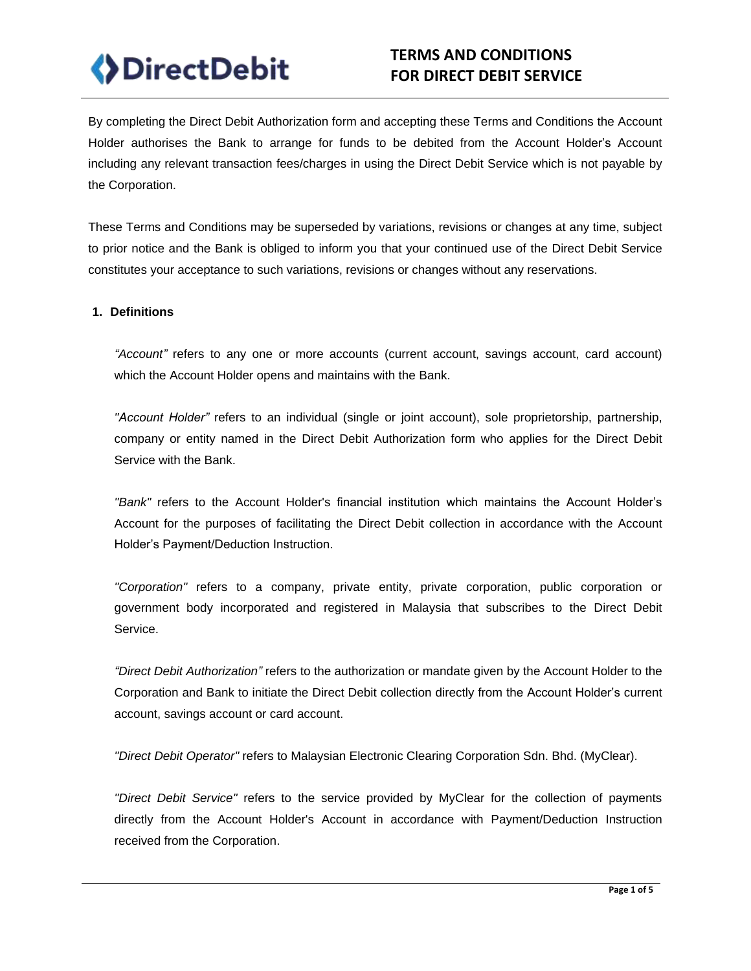

# **TERMS AND CONDITIONS FOR DIRECT DEBIT SERVICE**

By completing the Direct Debit Authorization form and accepting these Terms and Conditions the Account Holder authorises the Bank to arrange for funds to be debited from the Account Holder's Account including any relevant transaction fees/charges in using the Direct Debit Service which is not payable by the Corporation.

These Terms and Conditions may be superseded by variations, revisions or changes at any time, subject to prior notice and the Bank is obliged to inform you that your continued use of the Direct Debit Service constitutes your acceptance to such variations, revisions or changes without any reservations.

#### **1. Definitions**

*"Account"* refers to any one or more accounts (current account, savings account, card account) which the Account Holder opens and maintains with the Bank.

*"Account Holder"* refers to an individual (single or joint account), sole proprietorship, partnership, company or entity named in the Direct Debit Authorization form who applies for the Direct Debit Service with the Bank.

*"Bank"* refers to the Account Holder's financial institution which maintains the Account Holder's Account for the purposes of facilitating the Direct Debit collection in accordance with the Account Holder's Payment/Deduction Instruction.

*"Corporation"* refers to a company, private entity, private corporation, public corporation or government body incorporated and registered in Malaysia that subscribes to the Direct Debit Service.

*"Direct Debit Authorization"* refers to the authorization or mandate given by the Account Holder to the Corporation and Bank to initiate the Direct Debit collection directly from the Account Holder's current account, savings account or card account.

*"Direct Debit Operator"* refers to Malaysian Electronic Clearing Corporation Sdn. Bhd. (MyClear).

*"Direct Debit Service"* refers to the service provided by MyClear for the collection of payments directly from the Account Holder's Account in accordance with Payment/Deduction Instruction received from the Corporation.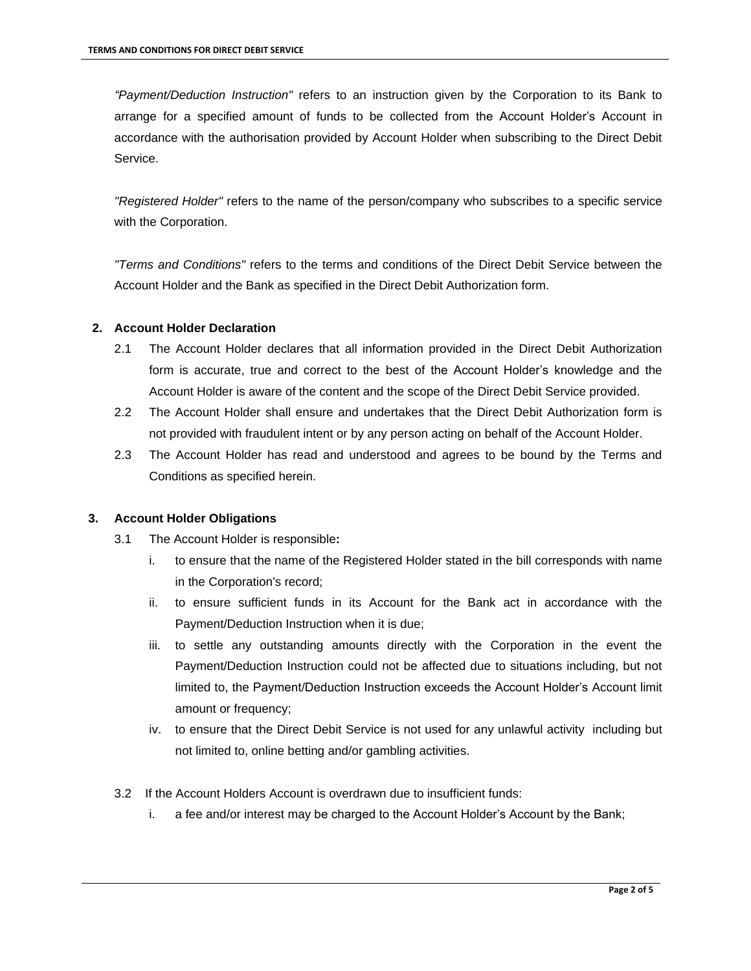*"Payment/Deduction Instruction"* refers to an instruction given by the Corporation to its Bank to arrange for a specified amount of funds to be collected from the Account Holder's Account in accordance with the authorisation provided by Account Holder when subscribing to the Direct Debit Service.

*"Registered Holder"* refers to the name of the person/company who subscribes to a specific service with the Corporation.

*"Terms and Conditions"* refers to the terms and conditions of the Direct Debit Service between the Account Holder and the Bank as specified in the Direct Debit Authorization form.

# **2. Account Holder Declaration**

- 2.1 The Account Holder declares that all information provided in the Direct Debit Authorization form is accurate, true and correct to the best of the Account Holder's knowledge and the Account Holder is aware of the content and the scope of the Direct Debit Service provided.
- 2.2 The Account Holder shall ensure and undertakes that the Direct Debit Authorization form is not provided with fraudulent intent or by any person acting on behalf of the Account Holder.
- 2.3 The Account Holder has read and understood and agrees to be bound by the Terms and Conditions as specified herein.

#### **3. Account Holder Obligations**

- 3.1 The Account Holder is responsible**:**
	- i. to ensure that the name of the Registered Holder stated in the bill corresponds with name in the Corporation's record;
	- ii. to ensure sufficient funds in its Account for the Bank act in accordance with the Payment/Deduction Instruction when it is due;
	- iii. to settle any outstanding amounts directly with the Corporation in the event the Payment/Deduction Instruction could not be affected due to situations including, but not limited to, the Payment/Deduction Instruction exceeds the Account Holder's Account limit amount or frequency;
	- iv. to ensure that the Direct Debit Service is not used for any unlawful activity including but not limited to, online betting and/or gambling activities.
- 3.2 If the Account Holders Account is overdrawn due to insufficient funds:
	- i. a fee and/or interest may be charged to the Account Holder's Account by the Bank;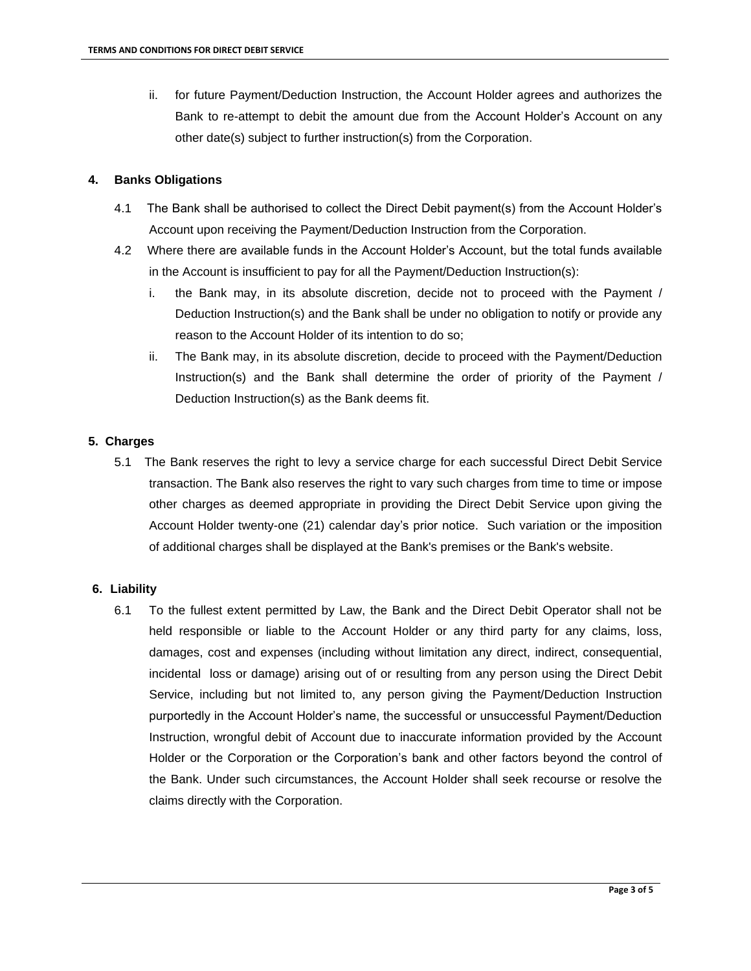ii. for future Payment/Deduction Instruction, the Account Holder agrees and authorizes the Bank to re-attempt to debit the amount due from the Account Holder's Account on any other date(s) subject to further instruction(s) from the Corporation.

# **4. Banks Obligations**

- 4.1 The Bank shall be authorised to collect the Direct Debit payment(s) from the Account Holder's Account upon receiving the Payment/Deduction Instruction from the Corporation.
- 4.2 Where there are available funds in the Account Holder's Account, but the total funds available in the Account is insufficient to pay for all the Payment/Deduction Instruction(s):
	- i. the Bank may, in its absolute discretion, decide not to proceed with the Payment / Deduction Instruction(s) and the Bank shall be under no obligation to notify or provide any reason to the Account Holder of its intention to do so;
	- ii. The Bank may, in its absolute discretion, decide to proceed with the Payment/Deduction Instruction(s) and the Bank shall determine the order of priority of the Payment / Deduction Instruction(s) as the Bank deems fit.

## **5. Charges**

5.1 The Bank reserves the right to levy a service charge for each successful Direct Debit Service transaction. The Bank also reserves the right to vary such charges from time to time or impose other charges as deemed appropriate in providing the Direct Debit Service upon giving the Account Holder twenty-one (21) calendar day's prior notice. Such variation or the imposition of additional charges shall be displayed at the Bank's premises or the Bank's website.

#### **6. Liability**

6.1 To the fullest extent permitted by Law, the Bank and the Direct Debit Operator shall not be held responsible or liable to the Account Holder or any third party for any claims, loss, damages, cost and expenses (including without limitation any direct, indirect, consequential, incidental loss or damage) arising out of or resulting from any person using the Direct Debit Service, including but not limited to, any person giving the Payment/Deduction Instruction purportedly in the Account Holder's name, the successful or unsuccessful Payment/Deduction Instruction, wrongful debit of Account due to inaccurate information provided by the Account Holder or the Corporation or the Corporation's bank and other factors beyond the control of the Bank. Under such circumstances, the Account Holder shall seek recourse or resolve the claims directly with the Corporation.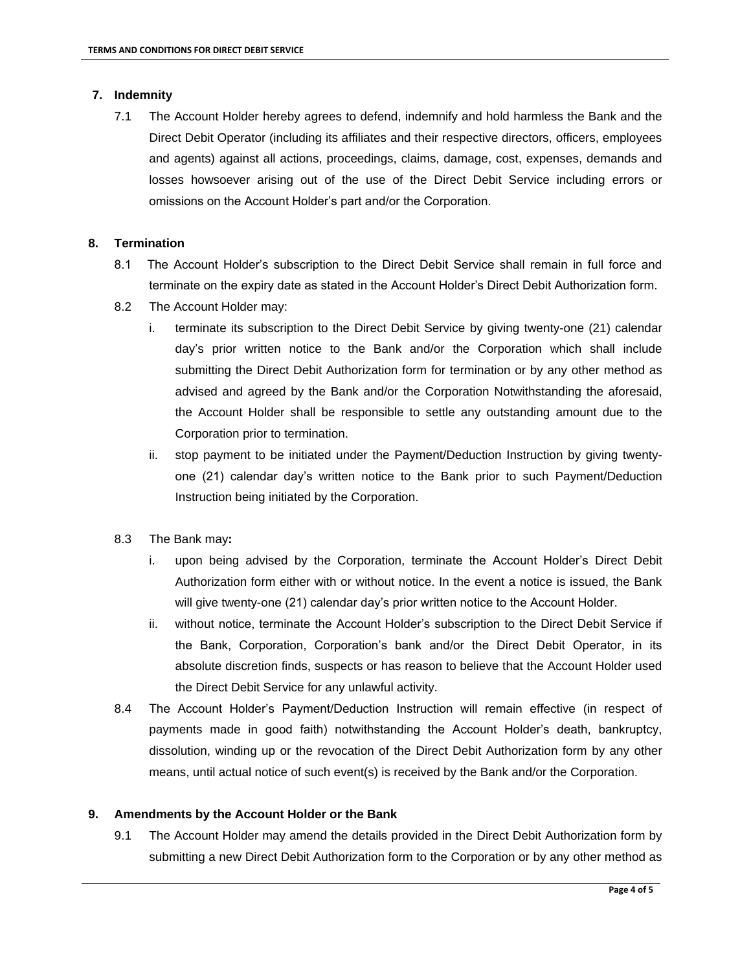# **7. Indemnity**

7.1 The Account Holder hereby agrees to defend, indemnify and hold harmless the Bank and the Direct Debit Operator (including its affiliates and their respective directors, officers, employees and agents) against all actions, proceedings, claims, damage, cost, expenses, demands and losses howsoever arising out of the use of the Direct Debit Service including errors or omissions on the Account Holder's part and/or the Corporation.

## **8. Termination**

- 8.1 The Account Holder's subscription to the Direct Debit Service shall remain in full force and terminate on the expiry date as stated in the Account Holder's Direct Debit Authorization form.
- 8.2 The Account Holder may:
	- i. terminate its subscription to the Direct Debit Service by giving twenty-one (21) calendar day's prior written notice to the Bank and/or the Corporation which shall include submitting the Direct Debit Authorization form for termination or by any other method as advised and agreed by the Bank and/or the Corporation Notwithstanding the aforesaid, the Account Holder shall be responsible to settle any outstanding amount due to the Corporation prior to termination.
	- ii. stop payment to be initiated under the Payment/Deduction Instruction by giving twentyone (21) calendar day's written notice to the Bank prior to such Payment/Deduction Instruction being initiated by the Corporation.
- 8.3 The Bank may**:** 
	- i. upon being advised by the Corporation, terminate the Account Holder's Direct Debit Authorization form either with or without notice. In the event a notice is issued, the Bank will give twenty-one (21) calendar day's prior written notice to the Account Holder.
	- ii. without notice, terminate the Account Holder's subscription to the Direct Debit Service if the Bank, Corporation, Corporation's bank and/or the Direct Debit Operator, in its absolute discretion finds, suspects or has reason to believe that the Account Holder used the Direct Debit Service for any unlawful activity.
- 8.4 The Account Holder's Payment/Deduction Instruction will remain effective (in respect of payments made in good faith) notwithstanding the Account Holder's death, bankruptcy, dissolution, winding up or the revocation of the Direct Debit Authorization form by any other means, until actual notice of such event(s) is received by the Bank and/or the Corporation.

# **9. Amendments by the Account Holder or the Bank**

9.1 The Account Holder may amend the details provided in the Direct Debit Authorization form by submitting a new Direct Debit Authorization form to the Corporation or by any other method as